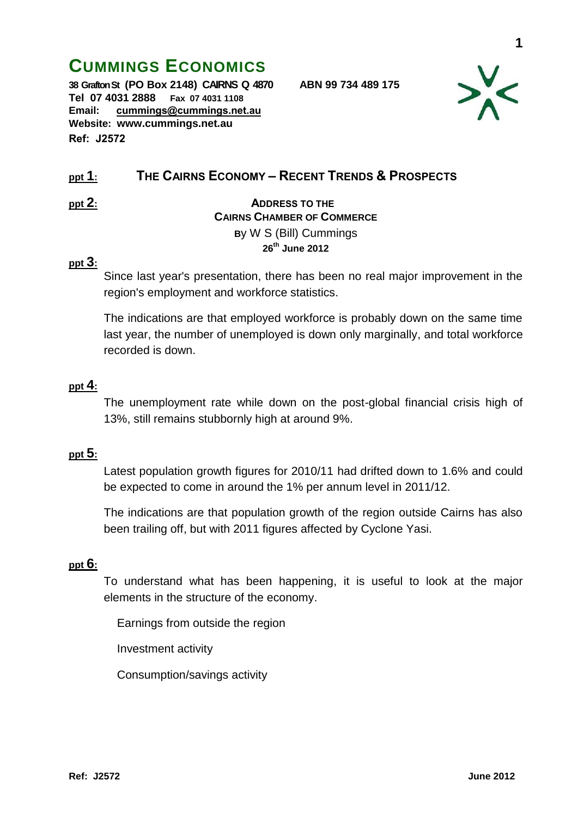# **CUMMINGS ECONOMICS**

**38 Grafton St (PO Box 2148) CAIRNS Q 4870 ABN 99 734 489 175 Tel 07 4031 2888 Fax 07 4031 1108 Email: [cummings@cummings.net.au](mailto:cummings@cummings.net.au) Website: www.cummings.net.au Ref: J2572**



# **ppt 1: THE CAIRNS ECONOMY – RECENT TRENDS & PROSPECTS**

# **ppt 2: ADDRESS TO THE CAIRNS CHAMBER OF COMMERCE B**y W S (Bill) Cummings **26 th June 2012**

#### **ppt 3:**

Since last year's presentation, there has been no real major improvement in the region's employment and workforce statistics.

The indications are that employed workforce is probably down on the same time last year, the number of unemployed is down only marginally, and total workforce recorded is down.

#### **ppt 4:**

The unemployment rate while down on the post-global financial crisis high of 13%, still remains stubbornly high at around 9%.

#### **ppt 5:**

Latest population growth figures for 2010/11 had drifted down to 1.6% and could be expected to come in around the 1% per annum level in 2011/12.

The indications are that population growth of the region outside Cairns has also been trailing off, but with 2011 figures affected by Cyclone Yasi.

#### **ppt 6:**

To understand what has been happening, it is useful to look at the major elements in the structure of the economy.

Earnings from outside the region

Investment activity

Consumption/savings activity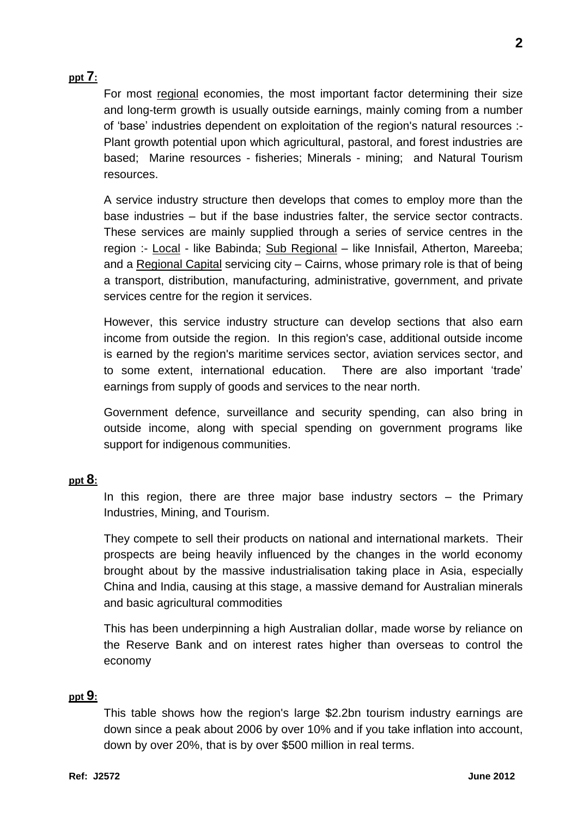## **ppt 7:**

For most regional economies, the most important factor determining their size and long-term growth is usually outside earnings, mainly coming from a number of 'base' industries dependent on exploitation of the region's natural resources :- Plant growth potential upon which agricultural, pastoral, and forest industries are based; Marine resources - fisheries; Minerals - mining; and Natural Tourism resources.

A service industry structure then develops that comes to employ more than the base industries – but if the base industries falter, the service sector contracts. These services are mainly supplied through a series of service centres in the region :- Local - like Babinda; Sub Regional – like Innisfail, Atherton, Mareeba; and a Regional Capital servicing city – Cairns, whose primary role is that of being a transport, distribution, manufacturing, administrative, government, and private services centre for the region it services.

However, this service industry structure can develop sections that also earn income from outside the region. In this region's case, additional outside income is earned by the region's maritime services sector, aviation services sector, and to some extent, international education. There are also important 'trade' earnings from supply of goods and services to the near north.

Government defence, surveillance and security spending, can also bring in outside income, along with special spending on government programs like support for indigenous communities.

#### **ppt 8:**

In this region, there are three major base industry sectors  $-$  the Primary Industries, Mining, and Tourism.

They compete to sell their products on national and international markets. Their prospects are being heavily influenced by the changes in the world economy brought about by the massive industrialisation taking place in Asia, especially China and India, causing at this stage, a massive demand for Australian minerals and basic agricultural commodities

This has been underpinning a high Australian dollar, made worse by reliance on the Reserve Bank and on interest rates higher than overseas to control the economy

#### **ppt 9:**

This table shows how the region's large \$2.2bn tourism industry earnings are down since a peak about 2006 by over 10% and if you take inflation into account, down by over 20%, that is by over \$500 million in real terms.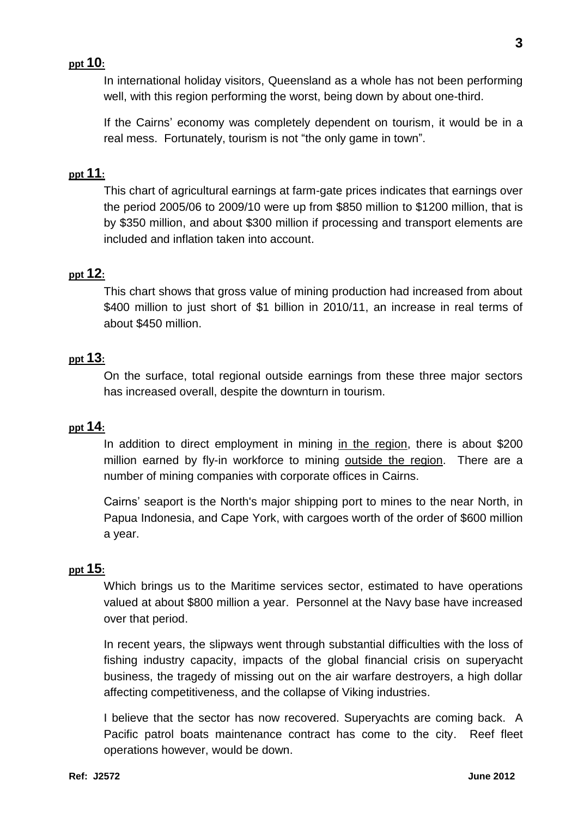#### **ppt 10:**

In international holiday visitors, Queensland as a whole has not been performing well, with this region performing the worst, being down by about one-third.

If the Cairns' economy was completely dependent on tourism, it would be in a real mess. Fortunately, tourism is not "the only game in town".

#### **ppt 11:**

This chart of agricultural earnings at farm-gate prices indicates that earnings over the period 2005/06 to 2009/10 were up from \$850 million to \$1200 million, that is by \$350 million, and about \$300 million if processing and transport elements are included and inflation taken into account.

#### **ppt 12:**

This chart shows that gross value of mining production had increased from about \$400 million to just short of \$1 billion in 2010/11, an increase in real terms of about \$450 million.

#### **ppt 13:**

On the surface, total regional outside earnings from these three major sectors has increased overall, despite the downturn in tourism.

#### **ppt 14:**

In addition to direct employment in mining in the region, there is about \$200 million earned by fly-in workforce to mining outside the region. There are a number of mining companies with corporate offices in Cairns.

Cairns' seaport is the North's major shipping port to mines to the near North, in Papua Indonesia, and Cape York, with cargoes worth of the order of \$600 million a year.

#### **ppt 15:**

Which brings us to the Maritime services sector, estimated to have operations valued at about \$800 million a year. Personnel at the Navy base have increased over that period.

In recent years, the slipways went through substantial difficulties with the loss of fishing industry capacity, impacts of the global financial crisis on superyacht business, the tragedy of missing out on the air warfare destroyers, a high dollar affecting competitiveness, and the collapse of Viking industries.

I believe that the sector has now recovered. Superyachts are coming back. A Pacific patrol boats maintenance contract has come to the city. Reef fleet operations however, would be down.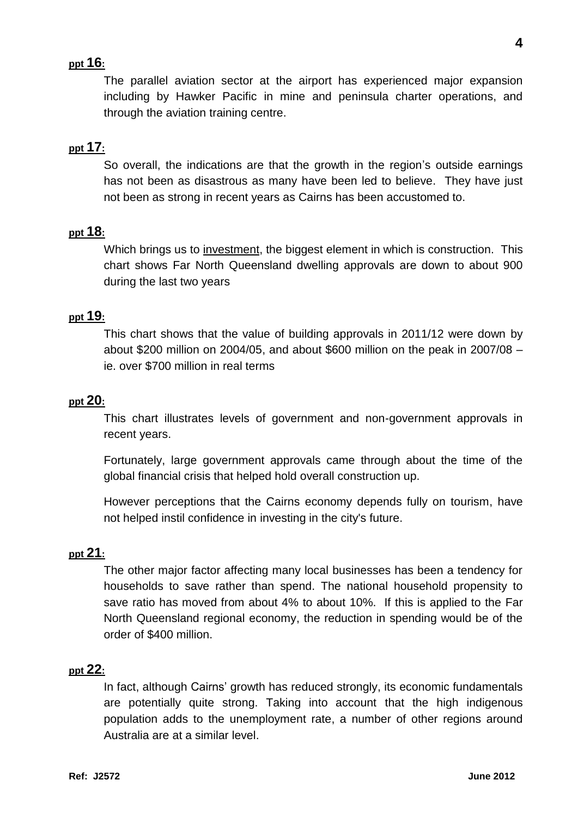#### **ppt 16:**

The parallel aviation sector at the airport has experienced major expansion including by Hawker Pacific in mine and peninsula charter operations, and through the aviation training centre.

#### **ppt 17:**

So overall, the indications are that the growth in the region's outside earnings has not been as disastrous as many have been led to believe. They have just not been as strong in recent years as Cairns has been accustomed to.

#### **ppt 18:**

Which brings us to investment, the biggest element in which is construction. This chart shows Far North Queensland dwelling approvals are down to about 900 during the last two years

#### **ppt 19:**

This chart shows that the value of building approvals in 2011/12 were down by about \$200 million on 2004/05, and about \$600 million on the peak in 2007/08 – ie. over \$700 million in real terms

#### **ppt 20:**

This chart illustrates levels of government and non-government approvals in recent years.

Fortunately, large government approvals came through about the time of the global financial crisis that helped hold overall construction up.

However perceptions that the Cairns economy depends fully on tourism, have not helped instil confidence in investing in the city's future.

#### **ppt 21:**

The other major factor affecting many local businesses has been a tendency for households to save rather than spend. The national household propensity to save ratio has moved from about 4% to about 10%. If this is applied to the Far North Queensland regional economy, the reduction in spending would be of the order of \$400 million.

#### **ppt 22:**

In fact, although Cairns' growth has reduced strongly, its economic fundamentals are potentially quite strong. Taking into account that the high indigenous population adds to the unemployment rate, a number of other regions around Australia are at a similar level.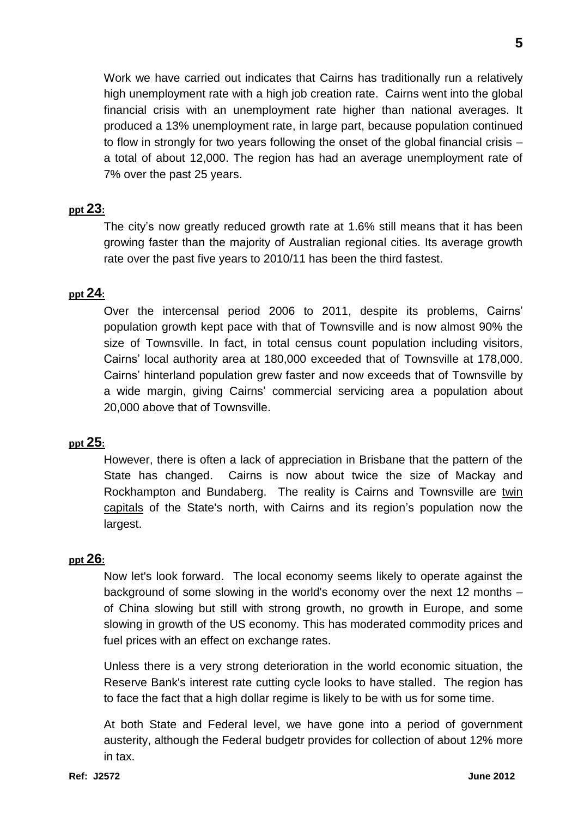Work we have carried out indicates that Cairns has traditionally run a relatively high unemployment rate with a high job creation rate. Cairns went into the global financial crisis with an unemployment rate higher than national averages. It produced a 13% unemployment rate, in large part, because population continued to flow in strongly for two years following the onset of the global financial crisis – a total of about 12,000. The region has had an average unemployment rate of 7% over the past 25 years.

# **ppt 23:**

The city's now greatly reduced growth rate at 1.6% still means that it has been growing faster than the majority of Australian regional cities. Its average growth rate over the past five years to 2010/11 has been the third fastest.

## **ppt 24:**

Over the intercensal period 2006 to 2011, despite its problems, Cairns' population growth kept pace with that of Townsville and is now almost 90% the size of Townsville. In fact, in total census count population including visitors, Cairns' local authority area at 180,000 exceeded that of Townsville at 178,000. Cairns' hinterland population grew faster and now exceeds that of Townsville by a wide margin, giving Cairns' commercial servicing area a population about 20,000 above that of Townsville.

## **ppt 25:**

However, there is often a lack of appreciation in Brisbane that the pattern of the State has changed. Cairns is now about twice the size of Mackay and Rockhampton and Bundaberg. The reality is Cairns and Townsville are twin capitals of the State's north, with Cairns and its region's population now the largest.

## **ppt 26:**

Now let's look forward. The local economy seems likely to operate against the background of some slowing in the world's economy over the next 12 months – of China slowing but still with strong growth, no growth in Europe, and some slowing in growth of the US economy. This has moderated commodity prices and fuel prices with an effect on exchange rates.

Unless there is a very strong deterioration in the world economic situation, the Reserve Bank's interest rate cutting cycle looks to have stalled. The region has to face the fact that a high dollar regime is likely to be with us for some time.

At both State and Federal level, we have gone into a period of government austerity, although the Federal budgetr provides for collection of about 12% more in tax.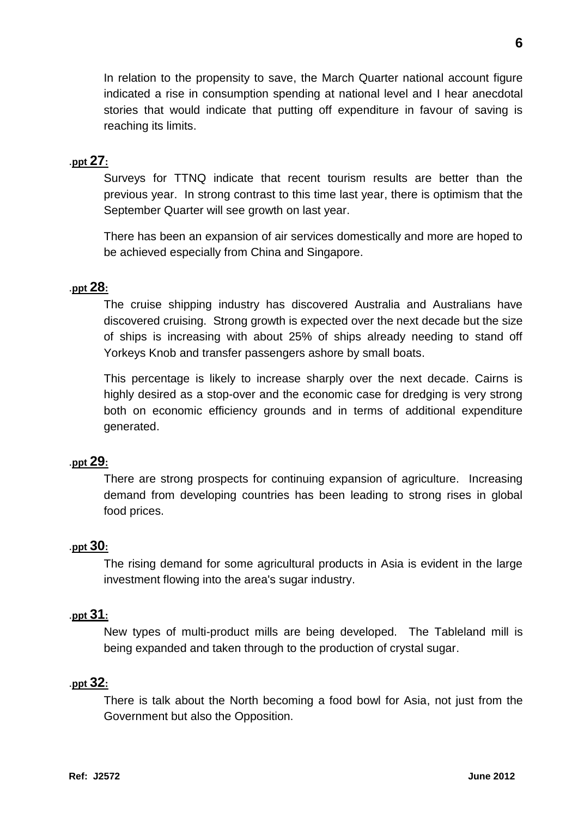In relation to the propensity to save, the March Quarter national account figure indicated a rise in consumption spending at national level and I hear anecdotal stories that would indicate that putting off expenditure in favour of saving is reaching its limits.

# .**ppt 27:**

Surveys for TTNQ indicate that recent tourism results are better than the previous year. In strong contrast to this time last year, there is optimism that the September Quarter will see growth on last year.

There has been an expansion of air services domestically and more are hoped to be achieved especially from China and Singapore.

## .**ppt 28:**

The cruise shipping industry has discovered Australia and Australians have discovered cruising. Strong growth is expected over the next decade but the size of ships is increasing with about 25% of ships already needing to stand off Yorkeys Knob and transfer passengers ashore by small boats.

This percentage is likely to increase sharply over the next decade. Cairns is highly desired as a stop-over and the economic case for dredging is very strong both on economic efficiency grounds and in terms of additional expenditure generated.

## .**ppt 29:**

There are strong prospects for continuing expansion of agriculture. Increasing demand from developing countries has been leading to strong rises in global food prices.

## .**ppt 30:**

The rising demand for some agricultural products in Asia is evident in the large investment flowing into the area's sugar industry.

## .**ppt 31:**

New types of multi-product mills are being developed. The Tableland mill is being expanded and taken through to the production of crystal sugar.

#### .**ppt 32:**

There is talk about the North becoming a food bowl for Asia, not just from the Government but also the Opposition.